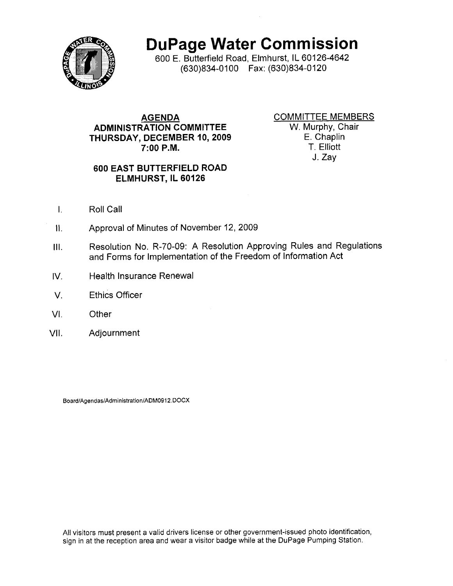

DuPage Water Commission

600 E, Butterfield Road, Elmhurst, lL 60126-4642 (630)834-0100 Fax: (630)834-0120

## **AGENDA** ADMINISTRATION COMMITTEE THURSDAY, DECEMBER 10, 2OO9 7:00 P.M.

COMMITTEE MEMBERS W, Murphy, Chair E. Chaplin T. Elliott J. Zay

## 600 EAST BUTTERFIELD ROAD ELMHURST, IL 60126

- t. Roll Call
- ll. Approval of Minutes of November 12,2009
- lll, Resolution No. R-70-09: A Resolution Approving Rules and Regulations and Forms for lmplementation of the Freedom of Information Act
- tv. Health Insurance Renewal
- $V<sub>1</sub>$ Ethics Officer
- vl. **Other**
- vll. Adjournment

Board/Agendas/Administration/ADM0912.DOCX

All visitors must present a valid drivers license or other government-issued photo identification, sign in at the reception area and wear a visitor badge while at the DuPage Pumping Station,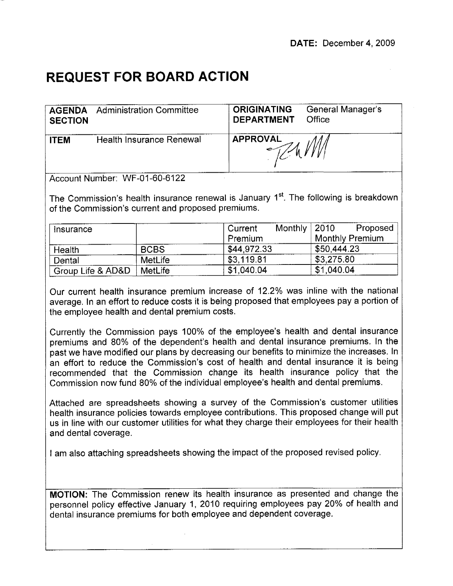## REQUEST FOR BOARD ACTION

| <b>SECTION</b> | <b>AGENDA</b> Administration Committee | <b>ORIGINATING</b><br><b>DEPARTMENT</b> | General Manager's<br>Office |
|----------------|----------------------------------------|-----------------------------------------|-----------------------------|
| <b>ITEM</b>    | Health Insurance Renewal               | <b>APPROVAL</b>                         |                             |

Account Number. WF-O1-60-6122

The Commission's health insurance renewal is January 1<sup>st</sup>. The following is breakdown of the Commission's current and proposed premiums.

| Insurance         |             | Current     | Monthly $ 2010 $ |             | Proposed               |
|-------------------|-------------|-------------|------------------|-------------|------------------------|
|                   |             | Premium     |                  |             | <b>Monthly Premium</b> |
| Health            | <b>BCBS</b> | \$44,972.33 |                  | \$50.444.23 |                        |
| Dental            | MetLife     | \$3,119.81  |                  | \$3,275.80  |                        |
| Group Life & AD&D | MetLife     | \$1,040.04  |                  | \$1,040.04  |                        |

Our current health insurance premium increase of 12.2% was inline with the national average. ln an effort to reduce costs it is being proposed that employees pay a portion of the employee health and dental premium costs.

Currently the Commission pays 100% of the employee's health and dental insurance premiums and 80% of the dependent's health and dental insurance premiums. In the past we have modified our plans by decreasing our benefits to minimize the increases. In an effort to reduce the Commission's cost of health and dental insurance it is being recommended that the Commission change its health insurance policy that the Commission now fund 80% of the individual employee's health and dental premiums,

Attached are spreadsheets showing a survey of the Commission's customer utilities health insurance policies towards employee contributions. This proposed change will put us in line with our customer utilities for what they charge their employees for their health and dental coverage.

I am also attaching spreadsheets showing the impact of the proposed revised policy,

MOTION: The Commission renew its health insurance as presented and change the personnel policy effective January 1, 2Q10 requiring employees pay 2Q% of health and dental insurance premiums for both employee and dependent coverage.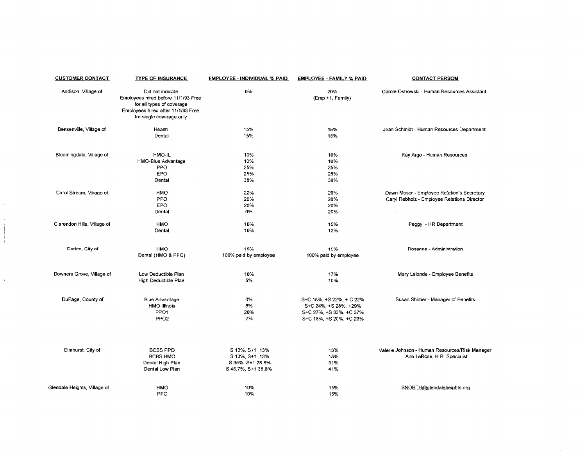|                  | <b>CUSTOMER CONTACT</b>      | <b>TYPE OF INSURANCE</b>                                                                                                                               | EMPLOYEE - INDIVIDUAL % PAID                                               | <b>EMPLOYEE - FAMILY % PAID</b>                                                                         | <b>CONTACT PERSON</b>                                                                     |
|------------------|------------------------------|--------------------------------------------------------------------------------------------------------------------------------------------------------|----------------------------------------------------------------------------|---------------------------------------------------------------------------------------------------------|-------------------------------------------------------------------------------------------|
|                  | Addison, Village of          | Did not indicate<br>Employees hired before 11/1/93 Free<br>for all types of coverage<br>Employees hired after 11/1/93 Free<br>for single coverage only | 0%                                                                         | 20%<br>(Emp +1, Family)                                                                                 | Carole Ostrowski - Human Resources Assistant                                              |
|                  | Bensenville, Village of      | Health<br>Dental                                                                                                                                       | 15%<br>15%                                                                 | 15%<br>15%                                                                                              | Jean Schmidt - Human Resources Department                                                 |
|                  | Bloomingdale, Village of     | HMO-IL<br>HMO-Blue Advantage<br><b>PPO</b><br><b>EPO</b><br>Dental                                                                                     | 10%<br>10%<br>25%<br>25%<br>38%                                            | 10%<br>10%<br>25%<br>25%<br>38%                                                                         | Kay Argo - Human Resources                                                                |
| $\sim$<br>$\sim$ | Carol Stream, Village of     | HMO<br>PPO<br>EPO<br>Dental                                                                                                                            | 20%<br>20%<br>20%<br>0%                                                    | 20%<br>20%<br>20%<br>20%                                                                                | Dawn Moser - Employee Relation's Secretary<br>Caryl Rebholz - Employee Relations Director |
|                  | Clarendon Hills, Village of  | <b>HMO</b><br>Dental                                                                                                                                   | 10%<br>10%                                                                 | 15%<br>12%                                                                                              | Peggy - HR Department                                                                     |
|                  | Darien, City of              | <b>HMO</b><br>Dental (HMO & PPO)                                                                                                                       | 15%<br>100% paid by employee                                               | 15%<br>100% paid by employee                                                                            | Rosanna - Administration                                                                  |
| $\blacksquare$   | Downers Grove, Village of    | Low Deductible Plan<br>High Deductible Plan                                                                                                            | 10%<br>5%                                                                  | 17%<br>10%                                                                                              | Mary Lalonde - Employee Benefits                                                          |
|                  | DuPage, County of            | <b>Blue Advantage</b><br><b>HMO Illinois</b><br>PPO <sub>1</sub><br>PPO <sub>2</sub>                                                                   | 0%<br>8%<br>20%<br>7%                                                      | S+C 18%, +S 22%, + C 22%<br>S+C 24%, +S 28%, +29%<br>S+C 27%, +S 33%, +C 37%<br>S+C 18%, +S 20%, +C 23% | Susan Shimer - Manager of Benefits                                                        |
|                  | Elmhurst, City of            | <b>BCBS PPO</b><br><b>BCBS HMO</b><br>Dental High Plan<br>Dental Low Plan                                                                              | S 13%, S+1 13%<br>S 13%, S+1 13%<br>S 35%, S+1 28.8%<br>S 46.7%, S+1 38.8% | 13%<br>13%<br>31%<br>41%                                                                                | Valerie Johnson - Human Resources/Risk Manager<br>Ann LeRose, H.R. Specialist             |
|                  | Glendale Heights, Village of | <b>HMO</b><br>PPO                                                                                                                                      | 10%<br>10%                                                                 | 15%<br>15%                                                                                              | SNORTH@glendaleheights.org                                                                |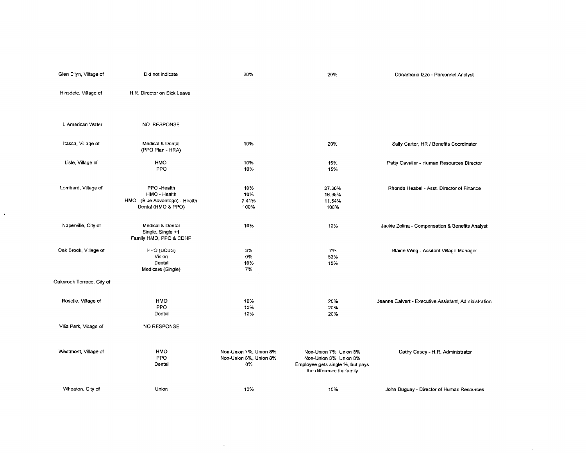| Glen Ellyn, Village of    | Did not indicate                                                                    | 20%                                                    | 20%                                                                                                               | Danamarie Izzo - Personnel Analyst                   |
|---------------------------|-------------------------------------------------------------------------------------|--------------------------------------------------------|-------------------------------------------------------------------------------------------------------------------|------------------------------------------------------|
| Hinsdale, Village of      | H.R. Director on Sick Leave                                                         |                                                        |                                                                                                                   |                                                      |
| IL American Water         | NO RESPONSE                                                                         |                                                        |                                                                                                                   |                                                      |
| Itasca, Village of        | Medical & Dental<br>(PPO Plan - HRA)                                                | 10%                                                    | 20%                                                                                                               | Sally Carter, HR / Benefits Coordinator              |
| Lisle, Village of         | <b>HMO</b><br>PPO                                                                   | 10%<br>10%                                             | 15%<br>15%                                                                                                        | Patty Cavailer - Human Resources Director            |
| Lombard, Village of       | PPO Health<br>HMO - Health<br>HMO - (Blue Advantage) - Health<br>Dental (HMO & PPO) | 10%<br>10%<br>7.41%<br>100%                            | 27.30%<br>16.95%<br>11.54%<br>100%                                                                                | Rhonda Heabel - Asst. Director of Finance            |
| Naperville, City of       | Medical & Dental<br>Single, Single +1<br>Family HMO, PPO & CDHP                     | 10%                                                    | 10%                                                                                                               | Jackie Zolina - Compensation & Benefits Analyst      |
| Oak Brook, Village of     | PPO (BCBS)<br>Vision<br>Dental<br>Medicare (Single)                                 | 8%<br>0%<br>10%<br>7%                                  | 7%<br>53%<br>10%                                                                                                  | Blaine Wing - Assitant Village Manager               |
| Oakbrook Terrace, City of |                                                                                     |                                                        |                                                                                                                   |                                                      |
| Roselle, Village of       | <b>HMO</b><br>PPO<br>Dental                                                         | 10%<br>10%<br>10%                                      | 20%<br>20%<br>20%                                                                                                 | Jeanne Calvert - Executive Assistant, Administration |
| Villa Park, Village of    | NO RESPONSE                                                                         |                                                        |                                                                                                                   |                                                      |
| Westmont, Village of      | <b>HMO</b><br>PPO<br>Dental                                                         | Non-Union 7%, Union 8%<br>Non-Union 8%, Union 8%<br>0% | Non-Union 7%, Union 8%<br>Non-Union 8%, Union 8%<br>Employee gets single %, but pays<br>the difference for family | Cathy Casey - H.R. Administrator                     |
| Wheaton, City of          | Union                                                                               | -10%                                                   | 10%                                                                                                               | John Duguay - Director of Human Resources            |

 $\mathcal{L}^{\text{max}}_{\text{max}}$ 

 $\alpha_{\rm{max}}$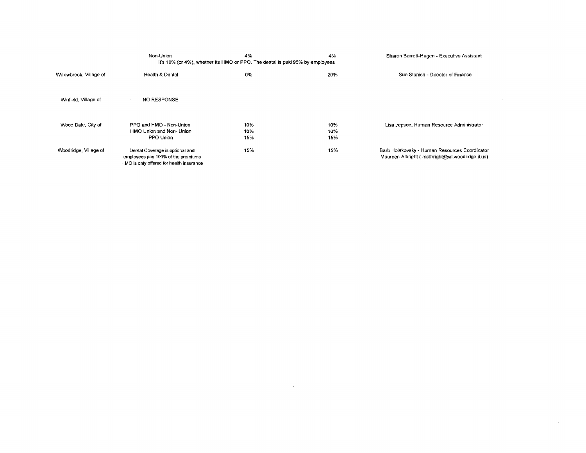|                         | Non-Union                                                                                                         | 4%                | 4%                | Sharon Barrett-Hagen - Executive Assistant                                                        |
|-------------------------|-------------------------------------------------------------------------------------------------------------------|-------------------|-------------------|---------------------------------------------------------------------------------------------------|
|                         | It's 10% (or 4%), whether its HMO or PPO. The dental is paid 95% by employees                                     |                   |                   |                                                                                                   |
| Willowbrook, Village of | <b>Health &amp; Dental</b>                                                                                        | 0%                | 20%               | Sue Stanish - Director of Finance                                                                 |
| Winfield, Village of    | <b>NO RESPONSE</b>                                                                                                |                   |                   |                                                                                                   |
| Wood Dale, City of      | PPO and HMO - Non-Union<br>HMO Union and Non- Union<br>PPO Union                                                  | 10%<br>10%<br>15% | 10%<br>10%<br>15% | Lisa Jepson, Human Resource Administrator                                                         |
| Woodridge, Village of   | Dental Coverage is optional and<br>employees pay 100% of the premiums<br>HMO is only offered for health insurance | 15%               | 15%               | Barb Holakovsky - Human Resources Coordinator<br>Maureen Albright (malbright@vil.woodridge.il.us) |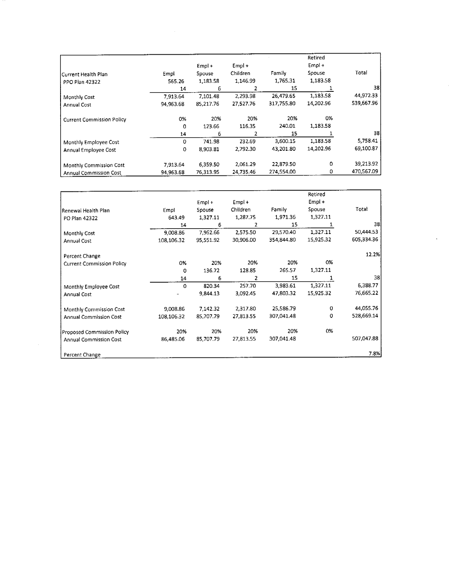|                                  |           | $Empl +$  | $Empl +$  |            | Retired<br>$Empl +$ |            |
|----------------------------------|-----------|-----------|-----------|------------|---------------------|------------|
| Current Health Plan              | Empl      | Spouse    | Children  | Family     | Spouse              | Total      |
| <b>PPO Plan 42322</b>            | 565.26    | 1,183.58  | 1,146.99  | 1,765.31   | 1,183.58            |            |
|                                  | 14        | 6         |           | 15         |                     | 38         |
| Monthly Cost                     | 7,913.64  | 7,101.48  | 2,293.98  | 26.479.65  | 1,183.58            | 44,972.33  |
| Annual Cost                      | 94,963.68 | 85,217.76 | 27,527.76 | 317.755.80 | 14,202.96           | 539,667.96 |
| <b>Current Commission Policy</b> | 0%        | 20%       | 20%       | 20%        | 0%                  |            |
|                                  | 0         | 123.66    | 116.35    | 240.01     | 1,183.58            |            |
|                                  | 14        | 6         | 2         | 15         |                     | 38         |
| Monthly Employee Cost            | 0         | 741.98    | 232.69    | 3,600.15   | 1,183.58            | 5,758.41   |
| Annual Employee Cost             | 0         | 8.903.81  | 2,792.30  | 43,201.80  | 14,202.96           | 69,100.87  |
| Monthly Commission Cost          | 7,913.64  | 6,359.50  | 2,061.29  | 22,879.50  | o                   | 39,213.92  |
| <b>Annual Commission Cost</b>    | 94,963.68 | 76.313.95 | 24,735.46 | 274.554.00 | 0                   | 470,567.09 |

|                                  |            |                  |                      |            | Retired<br>$Empl +$ |            |
|----------------------------------|------------|------------------|----------------------|------------|---------------------|------------|
| Renewal Health Plan              | Empl       | Empl +<br>Spouse | $Empl +$<br>Children | Family     | Spouse              | Total      |
| PO Plan 42322                    | 643 49     | 1,327.11         | 1,287.75             | 1,971.36   | 1,327.11            |            |
|                                  | 14         | 6                | 2                    | 15         |                     | 38         |
| Monthly Cost                     | 9,008.86   | 7,962.66         | 2,575.50             | 29,570.40  | 1,327.11            | 50,444.53  |
| Annual Cost                      | 108,106.32 | 95,551.92        | 30,906.00            | 354,844.80 | 15,925.32           | 605,334.36 |
| Percent Change                   |            |                  |                      |            |                     | 12.2%      |
| <b>Current Commission Policy</b> | 0%         | 20%              | 20%                  | 20%        | 0%                  |            |
|                                  | 0          | 136.72           | 128.85               | 265.57     | 1,327.11            |            |
|                                  | 14         | 6                |                      | 15         |                     | 38         |
| Monthly Employee Cost            | 0          | 820.34           | 257.70               | 3,983.61   | 1,327.11            | 6,388.77   |
| Annual Cost                      |            | 9,844.13         | 3,092.45             | 47,803.32  | 15,925.32           | 76,665.22  |
| Monthly Commission Cost          | 9,008.86   | 7,142.32         | 2,317.80             | 25,586.79  | 0                   | 44,055.76  |
| Annual Commission Cost           | 108,106.32 | 85,707.79        | 27,813.55            | 307,041.48 | 0                   | 528,669.14 |
| Proposed Commission Policy       | 20%        | 20%              | 20%                  | 20%        | 0%                  |            |
| <b>Annual Commission Cost</b>    | 86,485.06  | 85,707.79        | 27,813.55            | 307,041.48 |                     | 507,047.88 |
| Percent Change                   |            |                  |                      |            |                     | 7.8%       |

 $\mathcal{L}_{\text{max}}$  ,  $\mathcal{L}_{\text{max}}$